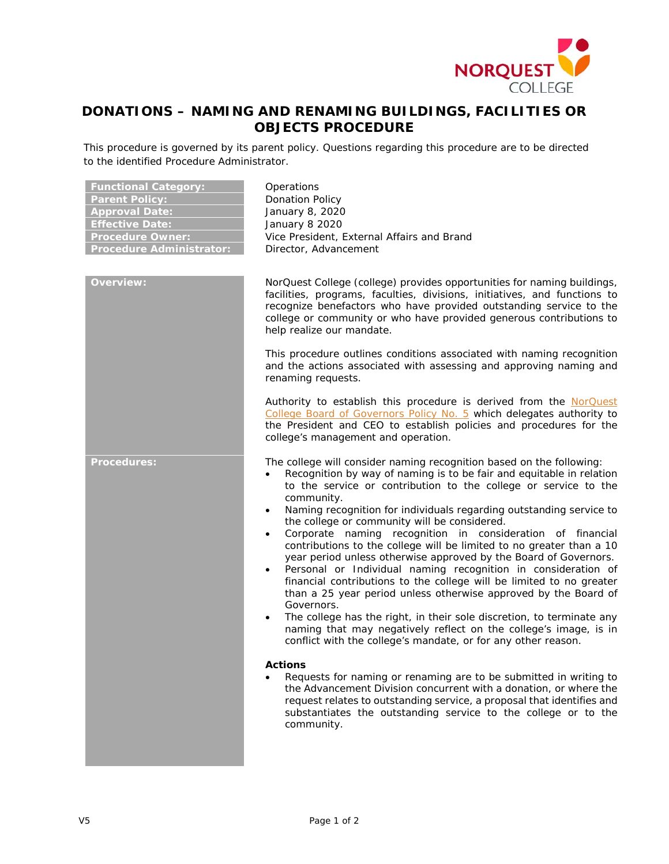

## **DONATIONS – NAMING AND RENAMING BUILDINGS, FACILITIES OR OBJECTS PROCEDURE**

This procedure is governed by its parent policy. Questions regarding this procedure are to be directed to the identified Procedure Administrator.

| <u> Functional</u> Category:<br><b>Parent Policy:</b><br><b>Approval Date:</b><br><b>Effective Date:</b><br><b>Procedure Owner:</b><br><b>Procedure Administrator:</b><br><b>Overview:</b> | Operations<br><b>Donation Policy</b><br>January 8, 2020<br>January 8 2020<br>Vice President, External Affairs and Brand<br>Director, Advancement<br>NorQuest College (college) provides opportunities for naming buildings,<br>facilities, programs, faculties, divisions, initiatives, and functions to<br>recognize benefactors who have provided outstanding service to the                                                                                                                                                                                                                                                                                                                                                                                                                                                                                                                                                                                                                                                                                                                                                                                                                                                                                                                                                                                                                |
|--------------------------------------------------------------------------------------------------------------------------------------------------------------------------------------------|-----------------------------------------------------------------------------------------------------------------------------------------------------------------------------------------------------------------------------------------------------------------------------------------------------------------------------------------------------------------------------------------------------------------------------------------------------------------------------------------------------------------------------------------------------------------------------------------------------------------------------------------------------------------------------------------------------------------------------------------------------------------------------------------------------------------------------------------------------------------------------------------------------------------------------------------------------------------------------------------------------------------------------------------------------------------------------------------------------------------------------------------------------------------------------------------------------------------------------------------------------------------------------------------------------------------------------------------------------------------------------------------------|
|                                                                                                                                                                                            | college or community or who have provided generous contributions to<br>help realize our mandate.<br>This procedure outlines conditions associated with naming recognition<br>and the actions associated with assessing and approving naming and<br>renaming requests.                                                                                                                                                                                                                                                                                                                                                                                                                                                                                                                                                                                                                                                                                                                                                                                                                                                                                                                                                                                                                                                                                                                         |
|                                                                                                                                                                                            | Authority to establish this procedure is derived from the NorQuest<br>College Board of Governors Policy No. 5 which delegates authority to<br>the President and CEO to establish policies and procedures for the<br>college's management and operation.                                                                                                                                                                                                                                                                                                                                                                                                                                                                                                                                                                                                                                                                                                                                                                                                                                                                                                                                                                                                                                                                                                                                       |
| <b>Procedures:</b>                                                                                                                                                                         | The college will consider naming recognition based on the following:<br>Recognition by way of naming is to be fair and equitable in relation<br>$\bullet$<br>to the service or contribution to the college or service to the<br>community.<br>Naming recognition for individuals regarding outstanding service to<br>$\bullet$<br>the college or community will be considered.<br>Corporate naming recognition in consideration of financial<br>$\bullet$<br>contributions to the college will be limited to no greater than a 10<br>year period unless otherwise approved by the Board of Governors.<br>Personal or Individual naming recognition in consideration of<br>$\bullet$<br>financial contributions to the college will be limited to no greater<br>than a 25 year period unless otherwise approved by the Board of<br>Governors.<br>The college has the right, in their sole discretion, to terminate any<br>$\bullet$<br>naming that may negatively reflect on the college's image, is in<br>conflict with the college's mandate, or for any other reason.<br><b>Actions</b><br>Requests for naming or renaming are to be submitted in writing to<br>the Advancement Division concurrent with a donation, or where the<br>request relates to outstanding service, a proposal that identifies and<br>substantiates the outstanding service to the college or to the<br>community. |
|                                                                                                                                                                                            |                                                                                                                                                                                                                                                                                                                                                                                                                                                                                                                                                                                                                                                                                                                                                                                                                                                                                                                                                                                                                                                                                                                                                                                                                                                                                                                                                                                               |